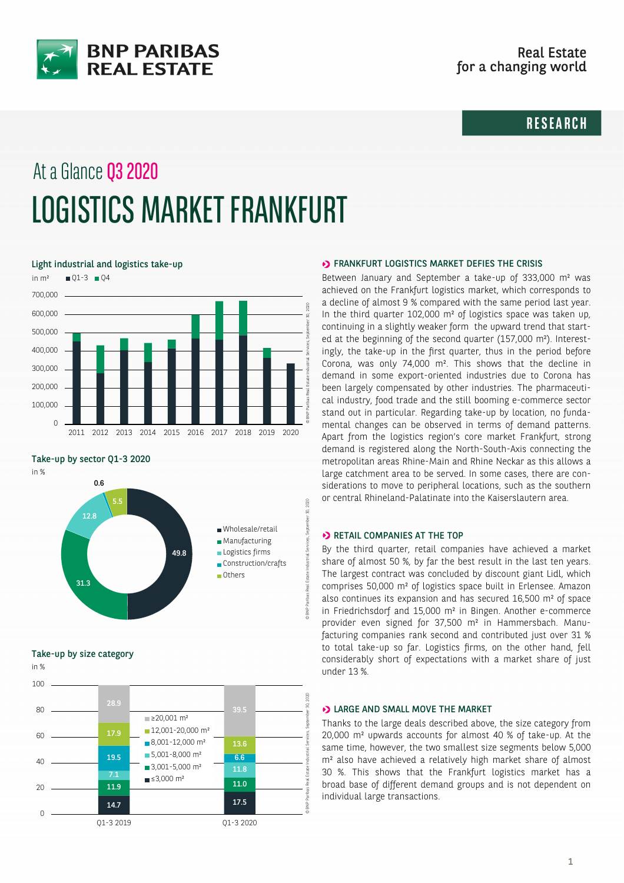

# **RESEARCH**

# At a Glance Q3 2020 LOGISTICS MARKET FRANKFURT

Light industrial and logistics take-up



Take-up by sector Q1-3 2020



Take-up by size category



### **ERANKFURT LOGISTICS MARKET DEFIES THE CRISIS**

Between January and September a take-up of 333,000 m² was achieved on the Frankfurt logistics market, which corresponds to a decline of almost 9 % compared with the same period last year. In the third quarter 102,000 m² of logistics space was taken up, continuing in a slightly weaker form the upward trend that started at the beginning of the second quarter (157,000 m²). Interestingly, the take-up in the first quarter, thus in the period before Corona, was only 74,000 m². This shows that the decline in demand in some export-oriented industries due to Corona has been largely compensated by other industries. The pharmaceutical industry, food trade and the still booming e-commerce sector stand out in particular. Regarding take-up by location, no fundamental changes can be observed in terms of demand patterns. Apart from the logistics region's core market Frankfurt, strong demand is registered along the North-South-Axis connecting the metropolitan areas Rhine-Main and Rhine Neckar as this allows a large catchment area to be served. In some cases, there are considerations to move to peripheral locations, such as the southern or central Rhineland-Palatinate into the Kaiserslautern area.

## **>>** RETAIL COMPANIES AT THE TOP

By the third quarter, retail companies have achieved a market share of almost 50 %, by far the best result in the last ten years. The largest contract was concluded by discount giant Lidl, which comprises 50,000 m² of logistics space built in Erlensee. Amazon also continues its expansion and has secured 16,500 m² of space in Friedrichsdorf and 15,000 m² in Bingen. Another e-commerce provider even signed for 37,500 m² in Hammersbach. Manufacturing companies rank second and contributed just over 31 % to total take-up so far. Logistics firms, on the other hand, fell considerably short of expectations with a market share of just under 13 %.

#### **D** LARGE AND SMALL MOVE THE MARKET

Thanks to the large deals described above, the size category from 20,000 m² upwards accounts for almost 40 % of take-up. At the same time, however, the two smallest size segments below 5,000 m² also have achieved a relatively high market share of almost 30 %. This shows that the Frankfurt logistics market has a broad base of different demand groups and is not dependent on individual large transactions.